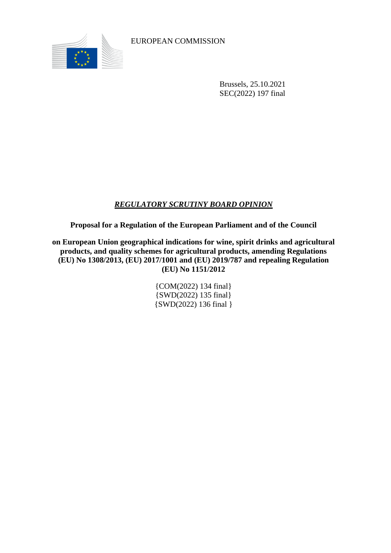

EUROPEAN COMMISSION

Brussels, 25.10.2021 SEC(2022) 197 final

## *REGULATORY SCRUTINY BOARD OPINION*

**Proposal for a Regulation of the European Parliament and of the Council**

**on European Union geographical indications for wine, spirit drinks and agricultural products, and quality schemes for agricultural products, amending Regulations (EU) No 1308/2013, (EU) 2017/1001 and (EU) 2019/787 and repealing Regulation (EU) No 1151/2012**

> {COM(2022) 134 final} {SWD(2022) 135 final} {SWD(2022) 136 final }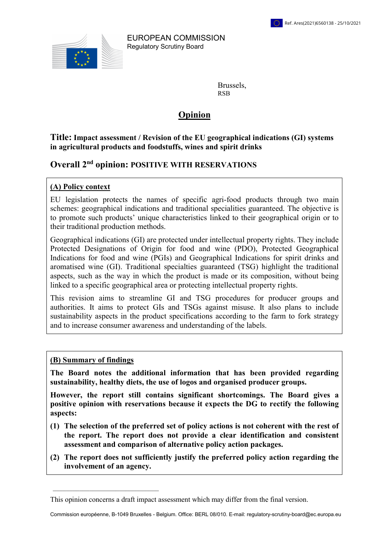

EUROPEAN COMMISSION Regulatory Scrutiny Board

> Brussels, RSB

# Opinion

### Title: Impact assessment / Revision of the EU geographical indications (GI) systems in agricultural products and foodstuffs, wines and spirit drinks

# Overall 2nd opinion: POSITIVE WITH RESERVATIONS

## (A) Policy context

EU legislation protects the names of specific agri-food products through two main schemes: geographical indications and traditional specialities guaranteed. The objective is to promote such products' unique characteristics linked to their geographical origin or to their traditional production methods.

Geographical indications (GI) are protected under intellectual property rights. They include Protected Designations of Origin for food and wine (PDO), Protected Geographical Indications for food and wine (PGIs) and Geographical Indications for spirit drinks and aromatised wine (GI). Traditional specialties guaranteed (TSG) highlight the traditional aspects, such as the way in which the product is made or its composition, without being linked to a specific geographical area or protecting intellectual property rights.

This revision aims to streamline GI and TSG procedures for producer groups and authorities. It aims to protect GIs and TSGs against misuse. It also plans to include sustainability aspects in the product specifications according to the farm to fork strategy and to increase consumer awareness and understanding of the labels.

#### (B) Summary of findings

The Board notes the additional information that has been provided regarding sustainability, healthy diets, the use of logos and organised producer groups.

However, the report still contains significant shortcomings. The Board gives a positive opinion with reservations because it expects the DG to rectify the following aspects:

- (1) The selection of the preferred set of policy actions is not coherent with the rest of the report. The report does not provide a clear identification and consistent assessment and comparison of alternative policy action packages.
- (2) The report does not sufficiently justify the preferred policy action regarding the involvement of an agency.

This opinion concerns a draft impact assessment which may differ from the final version.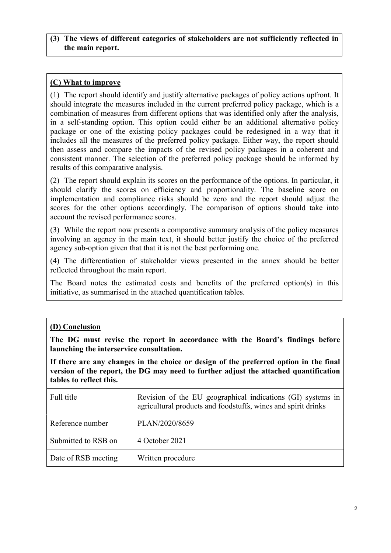### (3) The views of different categories of stakeholders are not sufficiently reflected in the main report.

## (C) What to improve

(1) The report should identify and justify alternative packages of policy actions upfront. It should integrate the measures included in the current preferred policy package, which is a combination of measures from different options that was identified only after the analysis, in a self-standing option. This option could either be an additional alternative policy package or one of the existing policy packages could be redesigned in a way that it includes all the measures of the preferred policy package. Either way, the report should then assess and compare the impacts of the revised policy packages in a coherent and consistent manner. The selection of the preferred policy package should be informed by results of this comparative analysis.

(2) The report should explain its scores on the performance of the options. In particular, it should clarify the scores on efficiency and proportionality. The baseline score on implementation and compliance risks should be zero and the report should adjust the scores for the other options accordingly. The comparison of options should take into account the revised performance scores.

(3) While the report now presents a comparative summary analysis of the policy measures involving an agency in the main text, it should better justify the choice of the preferred agency sub-option given that that it is not the best performing one.

(4) The differentiation of stakeholder views presented in the annex should be better reflected throughout the main report.

The Board notes the estimated costs and benefits of the preferred option(s) in this initiative, as summarised in the attached quantification tables.

## (D) Conclusion

The DG must revise the report in accordance with the Board's findings before launching the interservice consultation.

If there are any changes in the choice or design of the preferred option in the final version of the report, the DG may need to further adjust the attached quantification tables to reflect this.

| Full title          | Revision of the EU geographical indications (GI) systems in<br>agricultural products and foodstuffs, wines and spirit drinks |
|---------------------|------------------------------------------------------------------------------------------------------------------------------|
| Reference number    | PLAN/2020/8659                                                                                                               |
| Submitted to RSB on | 4 October 2021                                                                                                               |
| Date of RSB meeting | Written procedure                                                                                                            |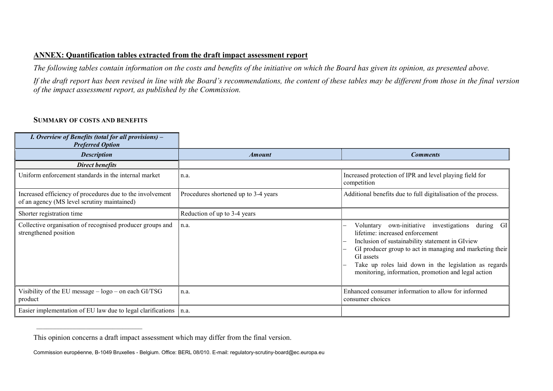### ANNEX: Quantification tables extracted from the draft impact assessment report

The following tables contain information on the costs and benefits of the initiative on which the Board has given its opinion, as presented above.

If the draft report has been revised in line with the Board's recommendations, the content of these tables may be different from those in the final version of the impact assessment report, as published by the Commission.

#### SUMMARY OF COSTS AND BENEFITS

 $\frac{1}{2}$  ,  $\frac{1}{2}$  ,  $\frac{1}{2}$  ,  $\frac{1}{2}$  ,  $\frac{1}{2}$  ,  $\frac{1}{2}$  ,  $\frac{1}{2}$  ,  $\frac{1}{2}$  ,  $\frac{1}{2}$  ,  $\frac{1}{2}$  ,  $\frac{1}{2}$  ,  $\frac{1}{2}$  ,  $\frac{1}{2}$  ,  $\frac{1}{2}$  ,  $\frac{1}{2}$  ,  $\frac{1}{2}$  ,  $\frac{1}{2}$  ,  $\frac{1}{2}$  ,  $\frac{1$ 

| I. Overview of Benefits (total for all provisions) –<br><b>Preferred Option</b>                          |                                      |                                                                                                                                                                                                                                                                                                                                        |
|----------------------------------------------------------------------------------------------------------|--------------------------------------|----------------------------------------------------------------------------------------------------------------------------------------------------------------------------------------------------------------------------------------------------------------------------------------------------------------------------------------|
| <b>Description</b>                                                                                       | <i><b>Amount</b></i>                 | <b>Comments</b>                                                                                                                                                                                                                                                                                                                        |
| <b>Direct benefits</b>                                                                                   |                                      |                                                                                                                                                                                                                                                                                                                                        |
| Uniform enforcement standards in the internal market                                                     | ∣n.a.                                | Increased protection of IPR and level playing field for<br>competition                                                                                                                                                                                                                                                                 |
| Increased efficiency of procedures due to the involvement<br>of an agency (MS level scrutiny maintained) | Procedures shortened up to 3-4 years | Additional benefits due to full digitalisation of the process.                                                                                                                                                                                                                                                                         |
| Shorter registration time                                                                                | Reduction of up to 3-4 years         |                                                                                                                                                                                                                                                                                                                                        |
| Collective organisation of recognised producer groups and<br>strengthened position                       | n.a.                                 | during GI<br>own-initiative investigations<br>Voluntary<br>lifetime: increased enforcement<br>Inclusion of sustainability statement in GIview<br>GI producer group to act in managing and marketing their<br>GI assets<br>Take up roles laid down in the legislation as regards<br>monitoring, information, promotion and legal action |
| Visibility of the EU message - logo - on each GI/TSG<br>product                                          | n.a.                                 | Enhanced consumer information to allow for informed<br>consumer choices                                                                                                                                                                                                                                                                |
| Easier implementation of EU law due to legal clarifications                                              | n.a.                                 |                                                                                                                                                                                                                                                                                                                                        |

This opinion concerns a draft impact assessment which may differ from the final version.

Commission européenne, B-1049 Bruxelles - Belgium. Office: BERL 08/010. E-mail: regulatory-scrutiny-board@ec.europa.eu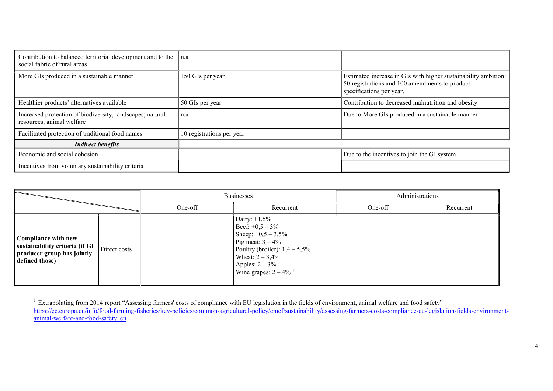| Contribution to balanced territorial development and to the<br>social fabric of rural areas | n.a.                      |                                                                                                                                              |
|---------------------------------------------------------------------------------------------|---------------------------|----------------------------------------------------------------------------------------------------------------------------------------------|
| More GIs produced in a sustainable manner                                                   | 150 GIs per year          | Estimated increase in GIs with higher sustainability ambition:<br>50 registrations and 100 amendments to product<br>specifications per year. |
| Healthier products' alternatives available                                                  | 50 GIs per year           | Contribution to decreased malnutrition and obesity                                                                                           |
| Increased protection of biodiversity, landscapes; natural<br>resources, animal welfare      | n.a.                      | Due to More GIs produced in a sustainable manner                                                                                             |
| Facilitated protection of traditional food names                                            | 10 registrations per year |                                                                                                                                              |
| <b>Indirect benefits</b>                                                                    |                           |                                                                                                                                              |
| Economic and social cohesion                                                                |                           | Due to the incentives to join the GI system                                                                                                  |
| Incentives from voluntary sustainability criteria                                           |                           |                                                                                                                                              |

|                                                                                                       |              | <b>Businesses</b> |                                                                                                                                                                                                     | Administrations |           |
|-------------------------------------------------------------------------------------------------------|--------------|-------------------|-----------------------------------------------------------------------------------------------------------------------------------------------------------------------------------------------------|-----------------|-----------|
|                                                                                                       |              | One-off           | Recurrent                                                                                                                                                                                           | One-off         | Recurrent |
| Compliance with new<br>sustainability criteria (if GI<br>producer group has jointly<br>defined those) | Direct costs |                   | Dairy: $+1,5%$<br>Beef: $+0,5-3\%$<br>Sheep: $+0,5-3,5\%$<br>Pig meat: $3 - 4\%$<br>Poultry (broiler): $1,4-5,5\%$<br>Wheat: $2 - 3,4%$<br>Apples: $2 - 3\%$<br>Wine grapes: $2 - 4\%$ <sup>1</sup> |                 |           |

 $\overline{a}$ 

 $1$  Extrapolating from 2014 report "Assessing farmers' costs of compliance with EU legislation in the fields of environment, animal welfare and food safety" https://ec.europa.eu/info/food-farming-fisheries/key-policies/common-agricultural-policy/cmef/sustainability/assessing-farmers-costs-compliance-eu-legislation-fields-environmentanimal-welfare-and-food-safety\_en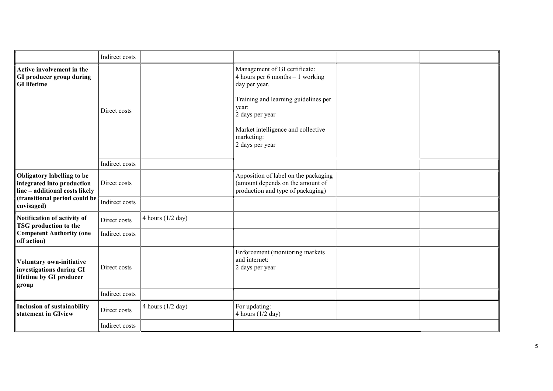|                                                                                                                                           | Indirect costs                 |                     |                                                                                                                                                                                                                                |  |
|-------------------------------------------------------------------------------------------------------------------------------------------|--------------------------------|---------------------|--------------------------------------------------------------------------------------------------------------------------------------------------------------------------------------------------------------------------------|--|
| Active involvement in the<br>GI producer group during<br><b>GI</b> lifetime                                                               | Direct costs<br>Indirect costs |                     | Management of GI certificate:<br>4 hours per 6 months $-1$ working<br>day per year.<br>Training and learning guidelines per<br>year:<br>2 days per year<br>Market intelligence and collective<br>marketing:<br>2 days per year |  |
|                                                                                                                                           |                                |                     |                                                                                                                                                                                                                                |  |
| Obligatory labelling to be<br>integrated into production<br>line - additional costs likely<br>(transitional period could be<br>envisaged) | Direct costs                   |                     | Apposition of label on the packaging<br>(amount depends on the amount of<br>production and type of packaging)                                                                                                                  |  |
|                                                                                                                                           | Indirect costs                 |                     |                                                                                                                                                                                                                                |  |
| Notification of activity of<br><b>TSG</b> production to the<br><b>Competent Authority (one</b><br>off action)                             | Direct costs                   | 4 hours $(1/2$ day) |                                                                                                                                                                                                                                |  |
|                                                                                                                                           | Indirect costs                 |                     |                                                                                                                                                                                                                                |  |
| Voluntary own-initiative<br>investigations during GI<br>lifetime by GI producer<br>group                                                  | Direct costs                   |                     | Enforcement (monitoring markets<br>and internet:<br>2 days per year                                                                                                                                                            |  |
|                                                                                                                                           | Indirect costs                 |                     |                                                                                                                                                                                                                                |  |
| <b>Inclusion of sustainability</b><br>statement in GIview                                                                                 | Direct costs                   | 4 hours $(1/2$ day) | For updating:<br>4 hours $(1/2$ day)                                                                                                                                                                                           |  |
|                                                                                                                                           | Indirect costs                 |                     |                                                                                                                                                                                                                                |  |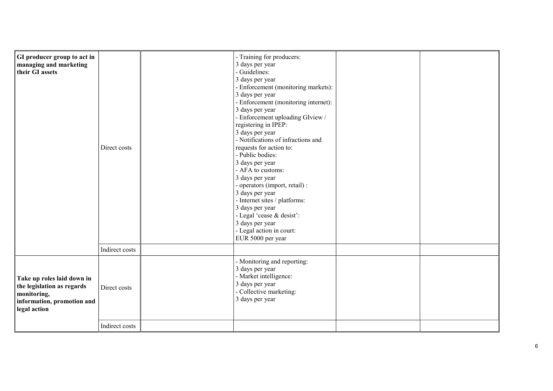| <b>GI</b> producer group to act in<br>managing and marketing<br>their GI assets                                       | Direct costs   | - Training for producers:<br>3 days per year<br>- Guidelines:<br>3 days per year<br>- Enforcement (monitoring markets):<br>3 days per year<br>- Enforcement (monitoring internet):<br>3 days per year<br>- Enforcement uploading GIview /<br>registering in IPEP:<br>3 days per year<br>- Notifications of infractions and<br>requests for action to:<br>- Public bodies:<br>3 days per year<br>- AFA to customs:<br>3 days per year<br>- operators (import, retail) :<br>3 days per year<br>- Internet sites / platforms:<br>3 days per year<br>- Legal 'cease & desist':<br>3 days per year<br>- Legal action in court:<br>EUR 5000 per year |  |
|-----------------------------------------------------------------------------------------------------------------------|----------------|------------------------------------------------------------------------------------------------------------------------------------------------------------------------------------------------------------------------------------------------------------------------------------------------------------------------------------------------------------------------------------------------------------------------------------------------------------------------------------------------------------------------------------------------------------------------------------------------------------------------------------------------|--|
|                                                                                                                       | Indirect costs |                                                                                                                                                                                                                                                                                                                                                                                                                                                                                                                                                                                                                                                |  |
| Take up roles laid down in<br>the legislation as regards<br>monitoring,<br>information, promotion and<br>legal action | Direct costs   | - Monitoring and reporting:<br>3 days per year<br>- Market intelligence:<br>3 days per year<br>- Collective marketing:<br>3 days per year                                                                                                                                                                                                                                                                                                                                                                                                                                                                                                      |  |
|                                                                                                                       | Indirect costs |                                                                                                                                                                                                                                                                                                                                                                                                                                                                                                                                                                                                                                                |  |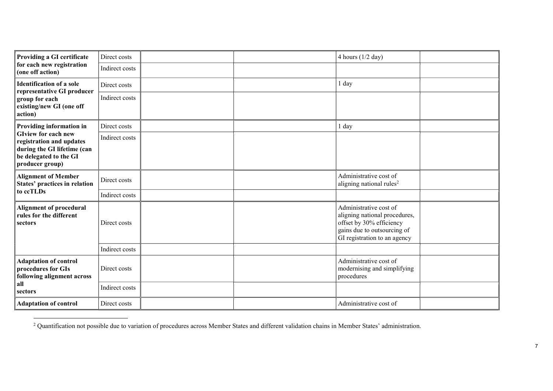| Providing a GI certificate<br>for each new registration<br>(one off action)                                                        | Direct costs   |  | 4 hours $(1/2$ day)                                                                                                                                |  |
|------------------------------------------------------------------------------------------------------------------------------------|----------------|--|----------------------------------------------------------------------------------------------------------------------------------------------------|--|
|                                                                                                                                    | Indirect costs |  |                                                                                                                                                    |  |
| Identification of a sole<br>representative GI producer                                                                             | Direct costs   |  | 1 day                                                                                                                                              |  |
| group for each<br>existing/new GI (one off<br>action)                                                                              | Indirect costs |  |                                                                                                                                                    |  |
| Providing information in                                                                                                           | Direct costs   |  | 1 day                                                                                                                                              |  |
| <b>GIview for each new</b><br>registration and updates<br>during the GI lifetime (can<br>be delegated to the GI<br>producer group) | Indirect costs |  |                                                                                                                                                    |  |
| Alignment of Member<br>States' practices in relation<br>to ccTLDs                                                                  | Direct costs   |  | Administrative cost of<br>aligning national rules <sup>2</sup>                                                                                     |  |
|                                                                                                                                    | Indirect costs |  |                                                                                                                                                    |  |
| Alignment of procedural<br>rules for the different<br>sectors                                                                      | Direct costs   |  | Administrative cost of<br>aligning national procedures,<br>offset by 30% efficiency<br>gains due to outsourcing of<br>GI registration to an agency |  |
|                                                                                                                                    | Indirect costs |  |                                                                                                                                                    |  |
| Adaptation of control<br>procedures for GIs<br>following alignment across<br>  all<br>  sectors                                    | Direct costs   |  | Administrative cost of<br>modernising and simplifying<br>procedures                                                                                |  |
|                                                                                                                                    | Indirect costs |  |                                                                                                                                                    |  |
| <b>Adaptation of control</b>                                                                                                       | Direct costs   |  | Administrative cost of                                                                                                                             |  |

 2 Quantification not possible due to variation of procedures across Member States and different validation chains in Member States' administration.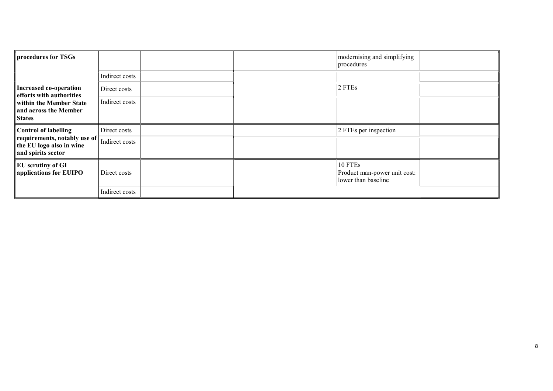| procedures for TSGs                                                                                    |                | modernising and simplifying<br>procedures                      |  |
|--------------------------------------------------------------------------------------------------------|----------------|----------------------------------------------------------------|--|
|                                                                                                        | Indirect costs |                                                                |  |
| Increased co-operation<br>efforts with authorities                                                     | Direct costs   | 2 FTEs                                                         |  |
| within the Member State<br>and across the Member<br><i><b>States</b></i>                               | Indirect costs |                                                                |  |
| Control of labelling<br>requirements, notably use of<br>the EU logo also in wine<br>and spirits sector | Direct costs   | 2 FTEs per inspection                                          |  |
|                                                                                                        | Indirect costs |                                                                |  |
| <b>EU</b> scrutiny of GI<br>applications for EUIPO                                                     | Direct costs   | 10 FTEs<br>Product man-power unit cost:<br>lower than baseline |  |
|                                                                                                        | Indirect costs |                                                                |  |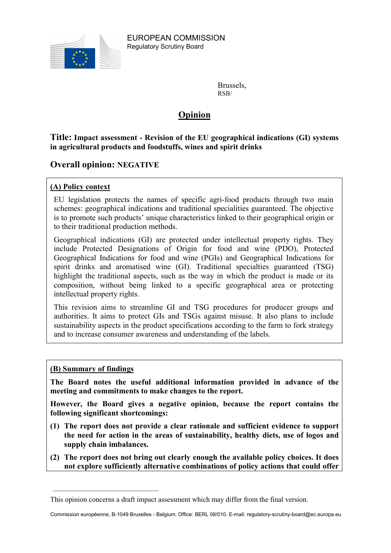

Brussels, RSB/

# Opinion

Title: Impact assessment - Revision of the EU geographical indications (GI) systems in agricultural products and foodstuffs, wines and spirit drinks

## Overall opinion: NEGATIVE

## (A) Policy context

EU legislation protects the names of specific agri-food products through two main schemes: geographical indications and traditional specialities guaranteed. The objective is to promote such products' unique characteristics linked to their geographical origin or to their traditional production methods.

Geographical indications (GI) are protected under intellectual property rights. They include Protected Designations of Origin for food and wine (PDO), Protected Geographical Indications for food and wine (PGIs) and Geographical Indications for spirit drinks and aromatised wine (GI). Traditional specialties guaranteed (TSG) highlight the traditional aspects, such as the way in which the product is made or its composition, without being linked to a specific geographical area or protecting intellectual property rights.

This revision aims to streamline GI and TSG procedures for producer groups and authorities. It aims to protect GIs and TSGs against misuse. It also plans to include sustainability aspects in the product specifications according to the farm to fork strategy and to increase consumer awareness and understanding of the labels.

#### (B) Summary of findings

The Board notes the useful additional information provided in advance of the meeting and commitments to make changes to the report.

However, the Board gives a negative opinion, because the report contains the following significant shortcomings:

- (1) The report does not provide a clear rationale and sufficient evidence to support the need for action in the areas of sustainability, healthy diets, use of logos and supply chain imbalances.
- (2) The report does not bring out clearly enough the available policy choices. It does not explore sufficiently alternative combinations of policy actions that could offer

This opinion concerns a draft impact assessment which may differ from the final version.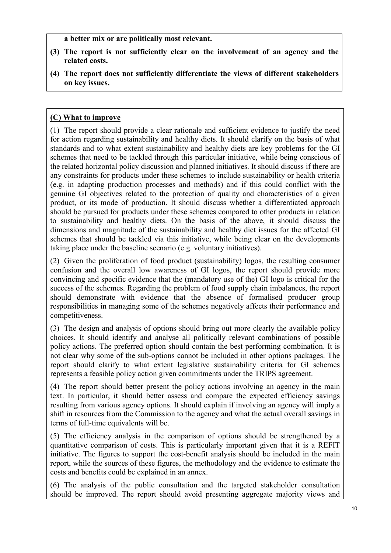a better mix or are politically most relevant.

- (3) The report is not sufficiently clear on the involvement of an agency and the related costs.
- (4) The report does not sufficiently differentiate the views of different stakeholders on key issues.

## (C) What to improve

(1) The report should provide a clear rationale and sufficient evidence to justify the need for action regarding sustainability and healthy diets. It should clarify on the basis of what standards and to what extent sustainability and healthy diets are key problems for the GI schemes that need to be tackled through this particular initiative, while being conscious of the related horizontal policy discussion and planned initiatives. It should discuss if there are any constraints for products under these schemes to include sustainability or health criteria (e.g. in adapting production processes and methods) and if this could conflict with the genuine GI objectives related to the protection of quality and characteristics of a given product, or its mode of production. It should discuss whether a differentiated approach should be pursued for products under these schemes compared to other products in relation to sustainability and healthy diets. On the basis of the above, it should discuss the dimensions and magnitude of the sustainability and healthy diet issues for the affected GI schemes that should be tackled via this initiative, while being clear on the developments taking place under the baseline scenario (e.g. voluntary initiatives).

(2) Given the proliferation of food product (sustainability) logos, the resulting consumer confusion and the overall low awareness of GI logos, the report should provide more convincing and specific evidence that the (mandatory use of the) GI logo is critical for the success of the schemes. Regarding the problem of food supply chain imbalances, the report should demonstrate with evidence that the absence of formalised producer group responsibilities in managing some of the schemes negatively affects their performance and competitiveness.

(3) The design and analysis of options should bring out more clearly the available policy choices. It should identify and analyse all politically relevant combinations of possible policy actions. The preferred option should contain the best performing combination. It is not clear why some of the sub-options cannot be included in other options packages. The report should clarify to what extent legislative sustainability criteria for GI schemes represents a feasible policy action given commitments under the TRIPS agreement.

(4) The report should better present the policy actions involving an agency in the main text. In particular, it should better assess and compare the expected efficiency savings resulting from various agency options. It should explain if involving an agency will imply a shift in resources from the Commission to the agency and what the actual overall savings in terms of full-time equivalents will be.

(5) The efficiency analysis in the comparison of options should be strengthened by a quantitative comparison of costs. This is particularly important given that it is a REFIT initiative. The figures to support the cost-benefit analysis should be included in the main report, while the sources of these figures, the methodology and the evidence to estimate the costs and benefits could be explained in an annex.

(6) The analysis of the public consultation and the targeted stakeholder consultation should be improved. The report should avoid presenting aggregate majority views and